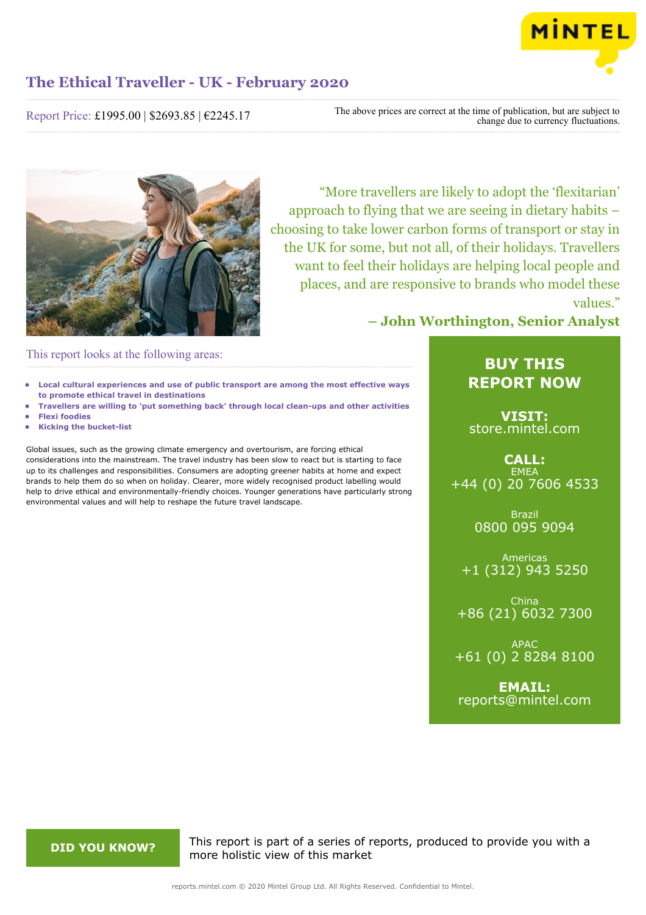

Report Price: £1995.00 | \$2693.85 | €2245.17

The above prices are correct at the time of publication, but are subject to change due to currency fluctuations.



"More travellers are likely to adopt the 'flexitarian' approach to flying that we are seeing in dietary habits – choosing to take lower carbon forms of transport or stay in the UK for some, but not all, of their holidays. Travellers want to feel their holidays are helping local people and places, and are responsive to brands who model these values."

This report looks at the following areas:

- **• Local cultural experiences and use of public transport are among the most effective ways to promote ethical travel in destinations**
- **• Travellers are willing to 'put something back' through local clean-ups and other activities**
- **• Flexi foodies**
- **• Kicking the bucket-list**

Global issues, such as the growing climate emergency and overtourism, are forcing ethical considerations into the mainstream. The travel industry has been slow to react but is starting to face up to its challenges and responsibilities. Consumers are adopting greener habits at home and expect brands to help them do so when on holiday. Clearer, more widely recognised product labelling would help to drive ethical and environmentally-friendly choices. Younger generations have particularly strong environmental values and will help to reshape the future travel landscape.

## **– John Worthington, Senior Analyst**

### **BUY THIS REPORT NOW**

**VISIT:** [store.mintel.com](/reports.mintel.com//display/store/987998/)

### **CALL: FMFA** +44 (0) 20 7606 4533

Brazil 0800 095 9094

Americas +1 (312) 943 5250

China +86 (21) 6032 7300

APAC +61 (0) 2 8284 8100

**EMAIL:** [reports@mintel.com](mailto:reports@mintel.com)

**DID YOU KNOW?** This report is part of a series of reports, produced to provide you with a more holistic view of this market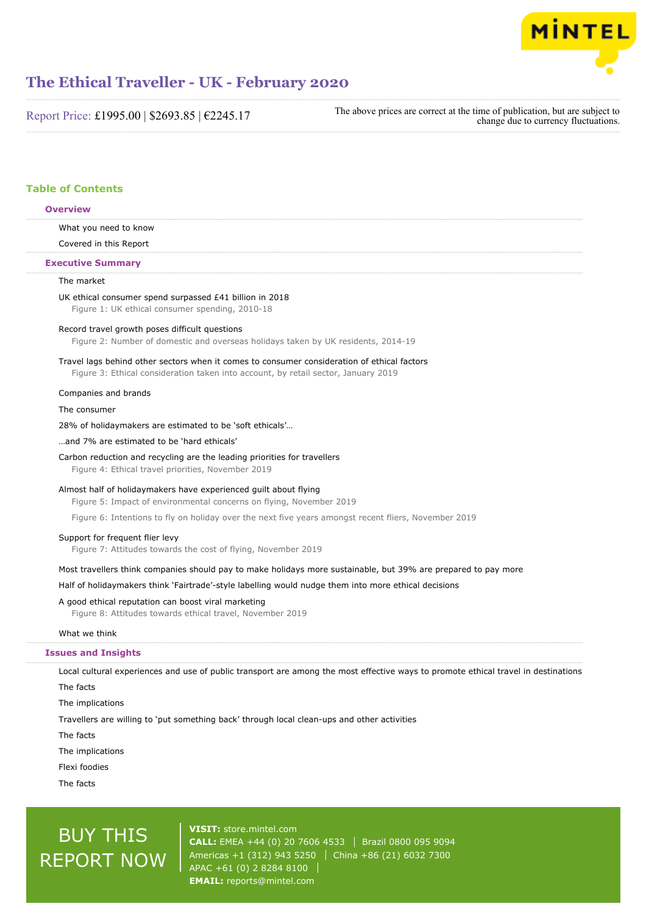

Report Price: £1995.00 | \$2693.85 | €2245.17

The above prices are correct at the time of publication, but are subject to change due to currency fluctuations.

#### **Table of Contents**

#### **Overview**

What you need to know

Covered in this Report

#### **Executive Summary**

#### The market

UK ethical consumer spend surpassed £41 billion in 2018 Figure 1: UK ethical consumer spending, 2010-18

Record travel growth poses difficult questions

Figure 2: Number of domestic and overseas holidays taken by UK residents, 2014-19

#### Travel lags behind other sectors when it comes to consumer consideration of ethical factors

Figure 3: Ethical consideration taken into account, by retail sector, January 2019

#### Companies and brands

The consumer

28% of holidaymakers are estimated to be 'soft ethicals'…

#### …and 7% are estimated to be 'hard ethicals'

Carbon reduction and recycling are the leading priorities for travellers Figure 4: Ethical travel priorities, November 2019

#### Almost half of holidaymakers have experienced guilt about flying

Figure 5: Impact of environmental concerns on flying, November 2019

Figure 6: Intentions to fly on holiday over the next five years amongst recent fliers, November 2019

#### Support for frequent flier levy

Figure 7: Attitudes towards the cost of flying, November 2019

#### Most travellers think companies should pay to make holidays more sustainable, but 39% are prepared to pay more

Half of holidaymakers think 'Fairtrade'-style labelling would nudge them into more ethical decisions

#### A good ethical reputation can boost viral marketing

Figure 8: Attitudes towards ethical travel, November 2019

#### What we think

#### **Issues and Insights**

Local cultural experiences and use of public transport are among the most effective ways to promote ethical travel in destinations

The facts

The implications

Travellers are willing to 'put something back' through local clean-ups and other activities

The facts

The implications

Flexi foodies

The facts

# BUY THIS REPORT NOW

**VISIT:** [store.mintel.com](/reports.mintel.com//display/store/987998/) **CALL:** EMEA +44 (0) 20 7606 4533 | Brazil 0800 095 9094 Americas +1 (312) 943 5250 | China +86 (21) 6032 7300 APAC +61 (0) 2 8284 8100 **EMAIL:** [reports@mintel.com](mailto:reports@mintel.com)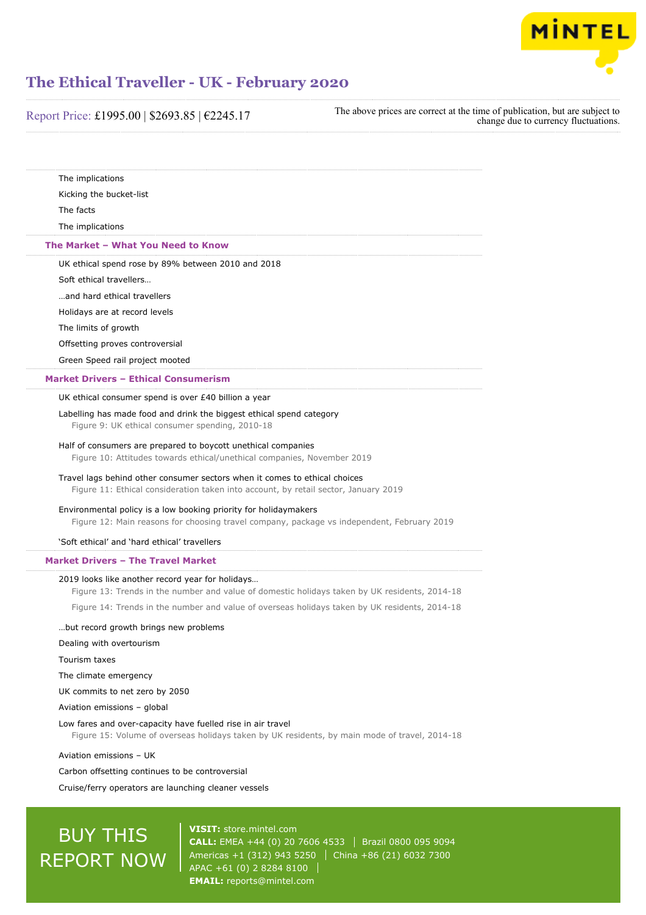

Report Price: £1995.00 | \$2693.85 | €2245.17

The above prices are correct at the time of publication, but are subject to change due to currency fluctuations.

| The implications                                                                                                                                                  |  |
|-------------------------------------------------------------------------------------------------------------------------------------------------------------------|--|
| Kicking the bucket-list                                                                                                                                           |  |
| The facts                                                                                                                                                         |  |
| The implications                                                                                                                                                  |  |
| The Market - What You Need to Know                                                                                                                                |  |
| UK ethical spend rose by 89% between 2010 and 2018                                                                                                                |  |
| Soft ethical travellers                                                                                                                                           |  |
| and hard ethical travellers                                                                                                                                       |  |
| Holidays are at record levels                                                                                                                                     |  |
| The limits of growth                                                                                                                                              |  |
| Offsetting proves controversial                                                                                                                                   |  |
| Green Speed rail project mooted                                                                                                                                   |  |
| <b>Market Drivers - Ethical Consumerism</b>                                                                                                                       |  |
| UK ethical consumer spend is over £40 billion a year                                                                                                              |  |
| Labelling has made food and drink the biggest ethical spend category                                                                                              |  |
| Figure 9: UK ethical consumer spending, 2010-18                                                                                                                   |  |
| Half of consumers are prepared to boycott unethical companies                                                                                                     |  |
| Figure 10: Attitudes towards ethical/unethical companies, November 2019                                                                                           |  |
| Travel lags behind other consumer sectors when it comes to ethical choices<br>Figure 11: Ethical consideration taken into account, by retail sector, January 2019 |  |
|                                                                                                                                                                   |  |
| Environmental policy is a low booking priority for holidaymakers<br>Figure 12: Main reasons for choosing travel company, package vs independent, February 2019    |  |
| 'Soft ethical' and 'hard ethical' travellers                                                                                                                      |  |
|                                                                                                                                                                   |  |
| <b>Market Drivers - The Travel Market</b>                                                                                                                         |  |
| 2019 looks like another record year for holidays<br>Figure 13: Trends in the number and value of domestic holidays taken by UK residents, 2014-18                 |  |
| Figure 14: Trends in the number and value of overseas holidays taken by UK residents, 2014-18                                                                     |  |
|                                                                                                                                                                   |  |
| but record growth brings new problems                                                                                                                             |  |
| Dealing with overtourism                                                                                                                                          |  |
| Tourism taxes                                                                                                                                                     |  |
| The climate emergency                                                                                                                                             |  |
| UK commits to net zero by 2050                                                                                                                                    |  |
| Aviation emissions - global                                                                                                                                       |  |
| Low fares and over-capacity have fuelled rise in air travel<br>Figure 15: Volume of overseas holidays taken by UK residents, by main mode of travel, 2014-18      |  |
| Aviation emissions - UK                                                                                                                                           |  |
| Carbon offsetting continues to be controversial                                                                                                                   |  |
| Cruise/ferry operators are launching cleaner vessels                                                                                                              |  |
|                                                                                                                                                                   |  |

# **BUY THIS** REPORT NOW

**VISIT:** [store.mintel.com](/reports.mintel.com//display/store/987998/) **CALL:** EMEA +44 (0) 20 7606 4533 | Brazil 0800 095 9094 Americas +1 (312) 943 5250  $\vert$  China +86 (21) 6032 7300 APAC +61 (0) 2 8284 8100 **EMAIL:** [reports@mintel.com](mailto:reports@mintel.com)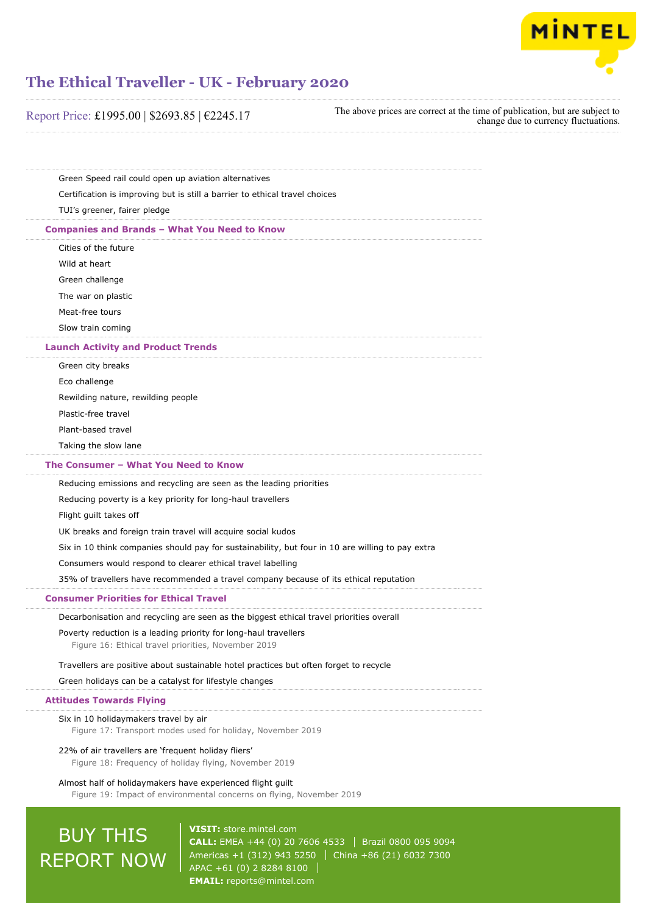

| Report Price: £1995.00   \$2693.85   €2245.17                                                                                      | The above prices are correct at the time of publication, but are subject to<br>change due to currency fluctuations. |
|------------------------------------------------------------------------------------------------------------------------------------|---------------------------------------------------------------------------------------------------------------------|
|                                                                                                                                    |                                                                                                                     |
| Green Speed rail could open up aviation alternatives                                                                               |                                                                                                                     |
| Certification is improving but is still a barrier to ethical travel choices                                                        |                                                                                                                     |
| TUI's greener, fairer pledge                                                                                                       |                                                                                                                     |
| <b>Companies and Brands - What You Need to Know</b>                                                                                |                                                                                                                     |
| Cities of the future                                                                                                               |                                                                                                                     |
| Wild at heart                                                                                                                      |                                                                                                                     |
| Green challenge                                                                                                                    |                                                                                                                     |
| The war on plastic                                                                                                                 |                                                                                                                     |
| Meat-free tours                                                                                                                    |                                                                                                                     |
| Slow train coming                                                                                                                  |                                                                                                                     |
| <b>Launch Activity and Product Trends</b>                                                                                          |                                                                                                                     |
| Green city breaks                                                                                                                  |                                                                                                                     |
| Eco challenge                                                                                                                      |                                                                                                                     |
| Rewilding nature, rewilding people                                                                                                 |                                                                                                                     |
| Plastic-free travel                                                                                                                |                                                                                                                     |
| Plant-based travel                                                                                                                 |                                                                                                                     |
| Taking the slow lane                                                                                                               |                                                                                                                     |
| The Consumer - What You Need to Know                                                                                               |                                                                                                                     |
| Reducing emissions and recycling are seen as the leading priorities                                                                |                                                                                                                     |
| Reducing poverty is a key priority for long-haul travellers                                                                        |                                                                                                                     |
| Flight guilt takes off                                                                                                             |                                                                                                                     |
| UK breaks and foreign train travel will acquire social kudos                                                                       |                                                                                                                     |
| Six in 10 think companies should pay for sustainability, but four in 10 are willing to pay extra                                   |                                                                                                                     |
| Consumers would respond to clearer ethical travel labelling                                                                        |                                                                                                                     |
| 35% of travellers have recommended a travel company because of its ethical reputation                                              |                                                                                                                     |
| <b>Consumer Priorities for Ethical Travel</b>                                                                                      |                                                                                                                     |
| Decarbonisation and recycling are seen as the biggest ethical travel priorities overall                                            |                                                                                                                     |
| Poverty reduction is a leading priority for long-haul travellers<br>Figure 16: Ethical travel priorities, November 2019            |                                                                                                                     |
| Travellers are positive about sustainable hotel practices but often forget to recycle                                              |                                                                                                                     |
| Green holidays can be a catalyst for lifestyle changes                                                                             |                                                                                                                     |
| <b>Attitudes Towards Flying</b>                                                                                                    |                                                                                                                     |
| Six in 10 holidaymakers travel by air<br>Figure 17: Transport modes used for holiday, November 2019                                |                                                                                                                     |
| 22% of air travellers are 'frequent holiday fliers'<br>Figure 18: Frequency of holiday flying, November 2019                       |                                                                                                                     |
| Almost half of holidaymakers have experienced flight guilt<br>Figure 19: Impact of environmental concerns on flying, November 2019 |                                                                                                                     |

**CALL:** EMEA +44 (0) 20 7606 4533 | Brazil 0800 095 9094 Americas +1 (312) 943 5250 | China +86 (21) 6032 7300 APAC +61 (0) 2 8284 8100 **EMAIL:** [reports@mintel.com](mailto:reports@mintel.com)

REPORT NOW